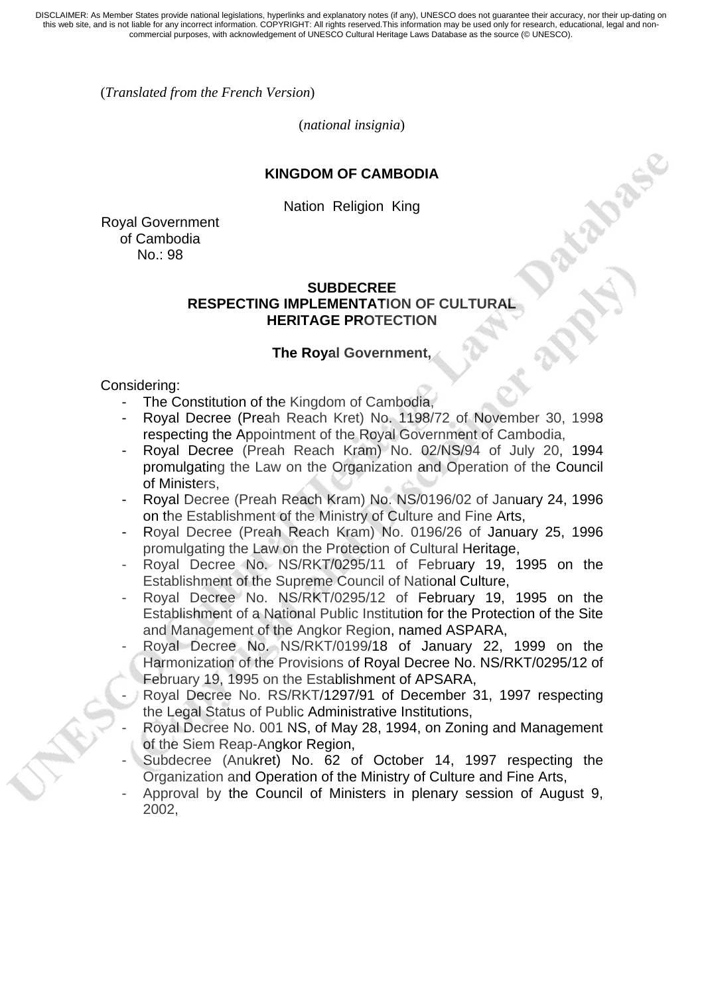(*Translated from the French Version*)

(*national insignia*)

### **KINGDOM OF CAMBODIA**

Nation Religion King

Royal Government of Cambodia No.: 98

### **SUBDECREE RESPECTING IMPLEMENTATION OF CULTURAL HERITAGE PROTECTION**

#### **The Royal Government,**

Considering:

- The Constitution of the Kingdom of Cambodia,
- Royal Decree (Preah Reach Kret) No. 1198/72 of November 30, 1998 respecting the Appointment of the Royal Government of Cambodia,
- Royal Decree (Preah Reach Kram) No. 02/NS/94 of July 20, 1994 promulgating the Law on the Organization and Operation of the Council of Ministers,
- Royal Decree (Preah Reach Kram) No. NS/0196/02 of January 24, 1996 on the Establishment of the Ministry of Culture and Fine Arts,
- Royal Decree (Preah Reach Kram) No. 0196/26 of January 25, 1996 promulgating the Law on the Protection of Cultural Heritage,
- Royal Decree No. NS/RKT/0295/11 of February 19, 1995 on the Establishment of the Supreme Council of National Culture,
- Royal Decree No. NS/RKT/0295/12 of February 19, 1995 on the Establishment of a National Public Institution for the Protection of the Site and Management of the Angkor Region, named ASPARA,
- Royal Decree No. NS/RKT/0199/18 of January 22, 1999 on the Harmonization of the Provisions of Royal Decree No. NS/RKT/0295/12 of February 19, 1995 on the Establishment of APSARA,
- Royal Decree No. RS/RKT/1297/91 of December 31, 1997 respecting the Legal Status of Public Administrative Institutions,
- Royal Decree No. 001 NS, of May 28, 1994, on Zoning and Management of the Siem Reap-Angkor Region,
- Subdecree (Anukret) No. 62 of October 14, 1997 respecting the Organization and Operation of the Ministry of Culture and Fine Arts,
- Approval by the Council of Ministers in plenary session of August 9, 2002,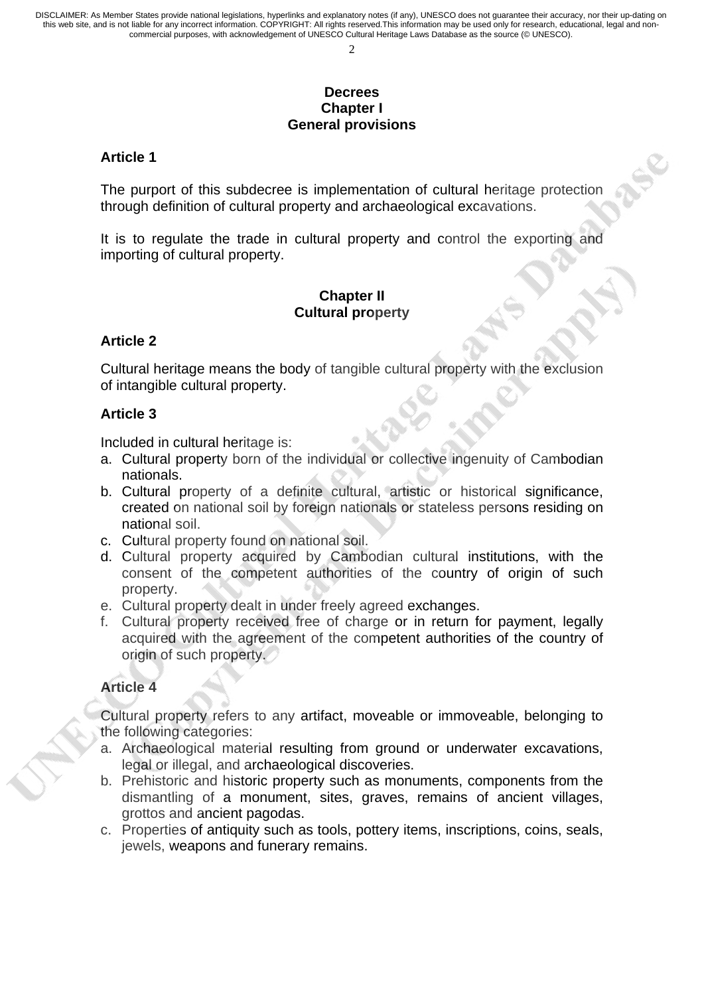### **Decrees Chapter I General provisions**

#### **Article 1**

The purport of this subdecree is implementation of cultural heritage protection through definition of cultural property and archaeological excavations.

It is to regulate the trade in cultural property and control the exporting and importing of cultural property.

### **Chapter II Cultural property**

### **Article 2**

Cultural heritage means the body of tangible cultural property with the exclusion of intangible cultural property.

### **Article 3**

Included in cultural heritage is:

- a. Cultural property born of the individual or collective ingenuity of Cambodian nationals.
- b. Cultural property of a definite cultural, artistic or historical significance, created on national soil by foreign nationals or stateless persons residing on national soil.
- c. Cultural property found on national soil.
- d. Cultural property acquired by Cambodian cultural institutions, with the consent of the competent authorities of the country of origin of such property.
- e. Cultural property dealt in under freely agreed exchanges.
- f. Cultural property received free of charge or in return for payment, legally acquired with the agreement of the competent authorities of the country of origin of such property.

## **Article 4**

Cultural property refers to any artifact, moveable or immoveable, belonging to the following categories:

- a. Archaeological material resulting from ground or underwater excavations, legal or illegal, and archaeological discoveries.
- b. Prehistoric and historic property such as monuments, components from the dismantling of a monument, sites, graves, remains of ancient villages, grottos and ancient pagodas.
- c. Properties of antiquity such as tools, pottery items, inscriptions, coins, seals, jewels, weapons and funerary remains.

 $\gamma$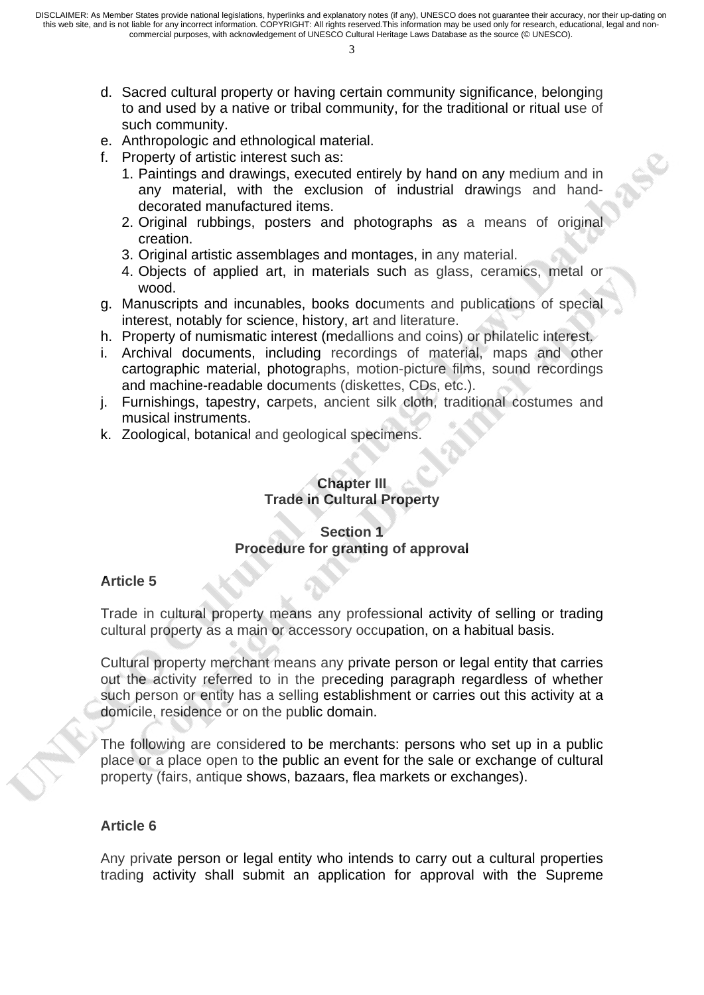- 3
- d. Sacred cultural property or having certain community significance, belonging to and used by a native or tribal community, for the traditional or ritual use of such community.
- e. Anthropologic and ethnological material.
- f. Property of artistic interest such as:
	- 1. Paintings and drawings, executed entirely by hand on any medium and in any material, with the exclusion of industrial drawings and handdecorated manufactured items.
	- 2. Original rubbings, posters and photographs as a means of original creation.
	- 3. Original artistic assemblages and montages, in any material.
	- 4. Objects of applied art, in materials such as glass, ceramics, metal or wood.
- g. Manuscripts and incunables, books documents and publications of special interest, notably for science, history, art and literature.
- h. Property of numismatic interest (medallions and coins) or philatelic interest.
- i. Archival documents, including recordings of material, maps and other cartographic material, photographs, motion-picture films, sound recordings and machine-readable documents (diskettes, CDs, etc.).
- j. Furnishings, tapestry, carpets, ancient silk cloth, traditional costumes and musical instruments.
- k. Zoological, botanical and geological specimens.

## **Chapter III Trade in Cultural Property**

### **Section 1 Procedure for granting of approval**

#### **Article 5**

Trade in cultural property means any professional activity of selling or trading cultural property as a main or accessory occupation, on a habitual basis.

Cultural property merchant means any private person or legal entity that carries out the activity referred to in the preceding paragraph regardless of whether such person or entity has a selling establishment or carries out this activity at a domicile, residence or on the public domain.

The following are considered to be merchants: persons who set up in a public place or a place open to the public an event for the sale or exchange of cultural property (fairs, antique shows, bazaars, flea markets or exchanges).

### **Article 6**

Any private person or legal entity who intends to carry out a cultural properties trading activity shall submit an application for approval with the Supreme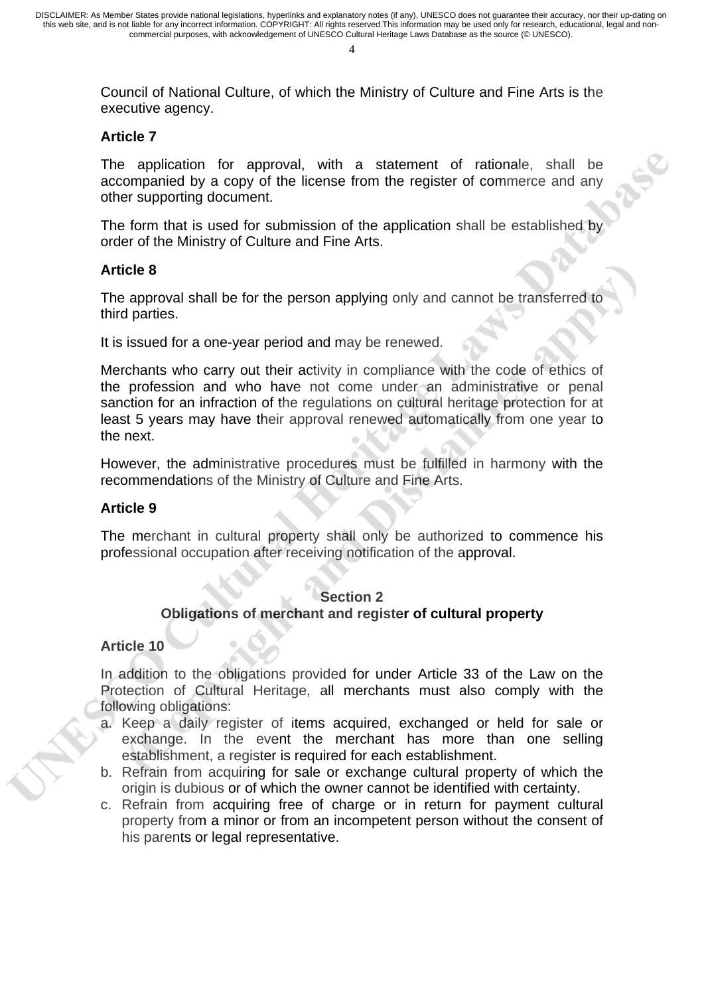$\overline{A}$ 

Council of National Culture, of which the Ministry of Culture and Fine Arts is the executive agency.

### **Article 7**

The application for approval, with a statement of rationale, shall be accompanied by a copy of the license from the register of commerce and any other supporting document.

The form that is used for submission of the application shall be established by order of the Ministry of Culture and Fine Arts.

### **Article 8**

The approval shall be for the person applying only and cannot be transferred to third parties.

It is issued for a one-year period and may be renewed.

Merchants who carry out their activity in compliance with the code of ethics of the profession and who have not come under an administrative or penal sanction for an infraction of the regulations on cultural heritage protection for at least 5 years may have their approval renewed automatically from one year to the next.

However, the administrative procedures must be fulfilled in harmony with the recommendations of the Ministry of Culture and Fine Arts.

### **Article 9**

The merchant in cultural property shall only be authorized to commence his professional occupation after receiving notification of the approval.

#### **Section 2**

### **Obligations of merchant and register of cultural property**

### **Article 10**

In addition to the obligations provided for under Article 33 of the Law on the Protection of Cultural Heritage, all merchants must also comply with the following obligations:

- a. Keep a daily register of items acquired, exchanged or held for sale or exchange. In the event the merchant has more than one selling establishment, a register is required for each establishment.
- b. Refrain from acquiring for sale or exchange cultural property of which the origin is dubious or of which the owner cannot be identified with certainty.
- c. Refrain from acquiring free of charge or in return for payment cultural property from a minor or from an incompetent person without the consent of his parents or legal representative.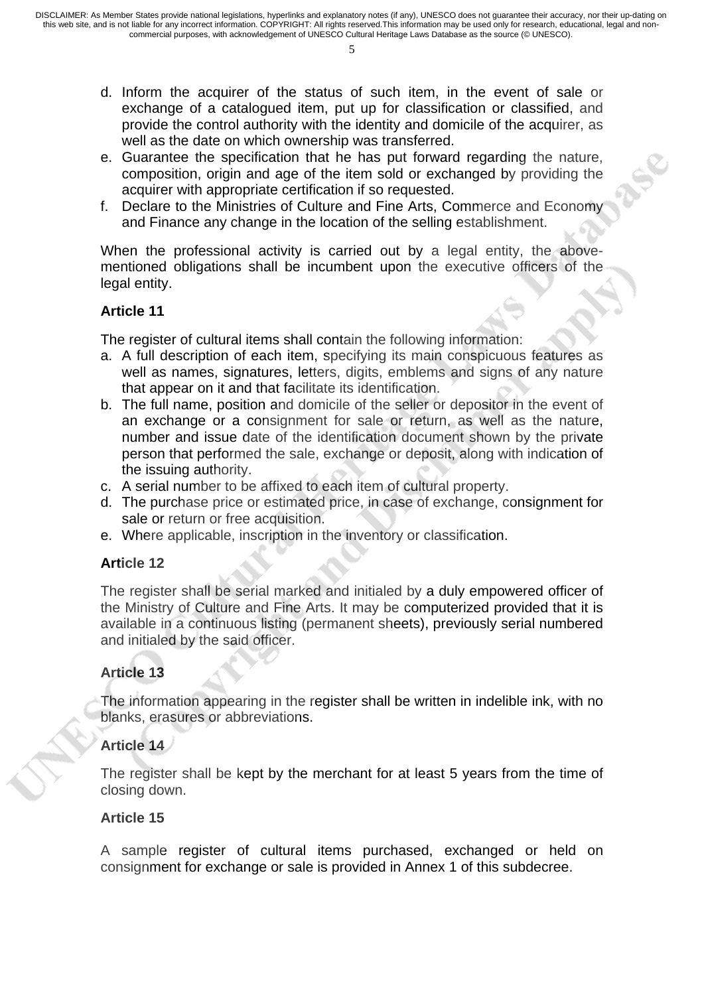- 5
- d. Inform the acquirer of the status of such item, in the event of sale or exchange of a catalogued item, put up for classification or classified, and provide the control authority with the identity and domicile of the acquirer, as well as the date on which ownership was transferred.
- e. Guarantee the specification that he has put forward regarding the nature, composition, origin and age of the item sold or exchanged by providing the acquirer with appropriate certification if so requested.
- f. Declare to the Ministries of Culture and Fine Arts, Commerce and Economy and Finance any change in the location of the selling establishment.

When the professional activity is carried out by a legal entity, the abovementioned obligations shall be incumbent upon the executive officers of the legal entity.

## **Article 11**

The register of cultural items shall contain the following information:

- a. A full description of each item, specifying its main conspicuous features as well as names, signatures, letters, digits, emblems and signs of any nature that appear on it and that facilitate its identification.
- b. The full name, position and domicile of the seller or depositor in the event of an exchange or a consignment for sale or return, as well as the nature, number and issue date of the identification document shown by the private person that performed the sale, exchange or deposit, along with indication of the issuing authority.
- c. A serial number to be affixed to each item of cultural property.
- d. The purchase price or estimated price, in case of exchange, consignment for sale or return or free acquisition.
- e. Where applicable, inscription in the inventory or classification.

### **Article 12**

The register shall be serial marked and initialed by a duly empowered officer of the Ministry of Culture and Fine Arts. It may be computerized provided that it is available in a continuous listing (permanent sheets), previously serial numbered and initialed by the said officer.

## **Article 13**

The information appearing in the register shall be written in indelible ink, with no blanks, erasures or abbreviations.

### **Article 14**

The register shall be kept by the merchant for at least 5 years from the time of closing down.

### **Article 15**

A sample register of cultural items purchased, exchanged or held on consignment for exchange or sale is provided in Annex 1 of this subdecree.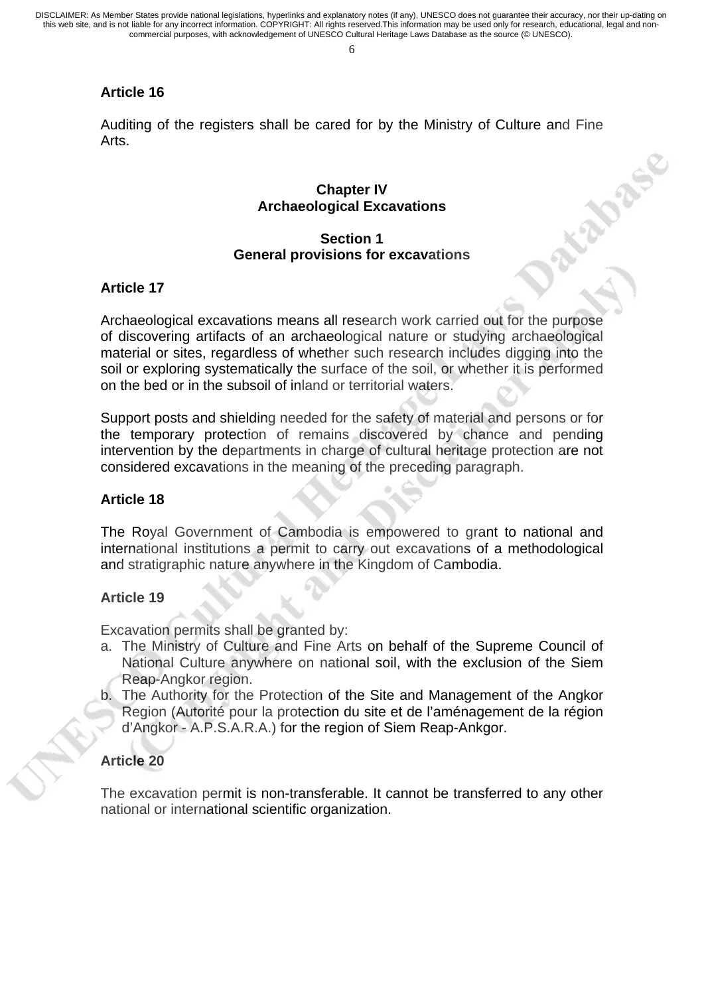6

## **Article 16**

Auditing of the registers shall be cared for by the Ministry of Culture and Fine Arts. **LORS**IC

#### **Chapter IV Archaeological Excavations**

#### **Section 1 General provisions for excavations**

### **Article 17**

Archaeological excavations means all research work carried out for the purpose of discovering artifacts of an archaeological nature or studying archaeological material or sites, regardless of whether such research includes digging into the soil or exploring systematically the surface of the soil, or whether it is performed on the bed or in the subsoil of inland or territorial waters.

Support posts and shielding needed for the safety of material and persons or for the temporary protection of remains discovered by chance and pending intervention by the departments in charge of cultural heritage protection are not considered excavations in the meaning of the preceding paragraph.

#### **Article 18**

The Royal Government of Cambodia is empowered to grant to national and international institutions a permit to carry out excavations of a methodological and stratigraphic nature anywhere in the Kingdom of Cambodia.

### **Article 19**

Excavation permits shall be granted by:

- a. The Ministry of Culture and Fine Arts on behalf of the Supreme Council of National Culture anywhere on national soil, with the exclusion of the Siem Reap-Angkor region.
- b. The Authority for the Protection of the Site and Management of the Angkor Region (Autorité pour la protection du site et de l'aménagement de la région d'Angkor - A.P.S.A.R.A.) for the region of Siem Reap-Ankgor.

### **Article 20**

The excavation permit is non-transferable. It cannot be transferred to any other national or international scientific organization.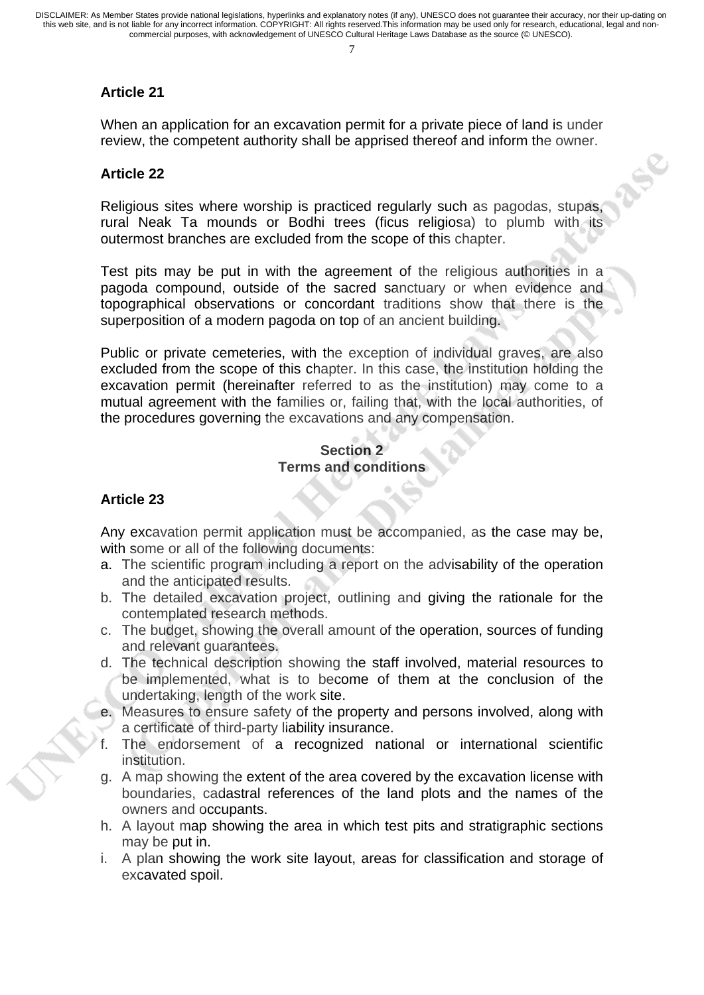### **Article 21**

When an application for an excavation permit for a private piece of land is under review, the competent authority shall be apprised thereof and inform the owner.

RSC

#### **Article 22**

Religious sites where worship is practiced regularly such as pagodas, stupas, rural Neak Ta mounds or Bodhi trees (ficus religiosa) to plumb with its outermost branches are excluded from the scope of this chapter.

Test pits may be put in with the agreement of the religious authorities in a pagoda compound, outside of the sacred sanctuary or when evidence and topographical observations or concordant traditions show that there is the superposition of a modern pagoda on top of an ancient building.

Public or private cemeteries, with the exception of individual graves, are also excluded from the scope of this chapter. In this case, the institution holding the excavation permit (hereinafter referred to as the institution) may come to a mutual agreement with the families or, failing that, with the local authorities, of the procedures governing the excavations and any compensation.

#### **Section 2 Terms and conditions**

#### **Article 23**

Any excavation permit application must be accompanied, as the case may be, with some or all of the following documents:

- a. The scientific program including a report on the advisability of the operation and the anticipated results.
- b. The detailed excavation project, outlining and giving the rationale for the contemplated research methods.
- c. The budget, showing the overall amount of the operation, sources of funding and relevant guarantees.
- d. The technical description showing the staff involved, material resources to be implemented, what is to become of them at the conclusion of the undertaking, length of the work site.
- e. Measures to ensure safety of the property and persons involved, along with a certificate of third-party liability insurance.
- f. The endorsement of a recognized national or international scientific institution.
- g. A map showing the extent of the area covered by the excavation license with boundaries, cadastral references of the land plots and the names of the owners and occupants.
- h. A layout map showing the area in which test pits and stratigraphic sections may be put in.
- i. A plan showing the work site layout, areas for classification and storage of excavated spoil.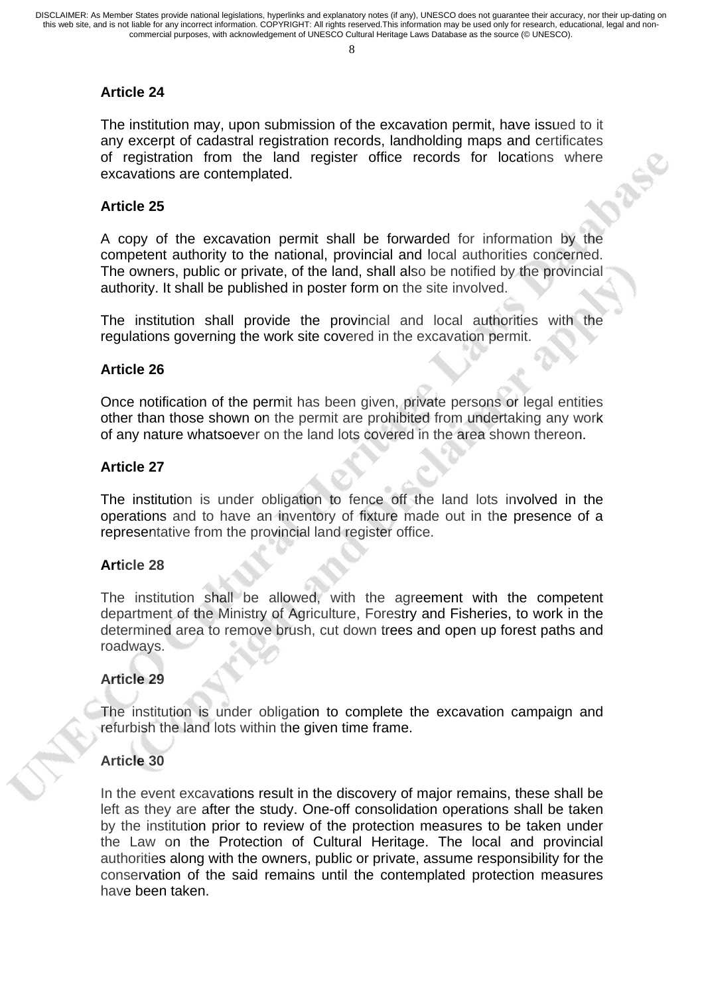### **Article 24**

The institution may, upon submission of the excavation permit, have issued to it any excerpt of cadastral registration records, landholding maps and certificates of registration from the land register office records for locations where excavations are contemplated.

## **Article 25**

A copy of the excavation permit shall be forwarded for information by the competent authority to the national, provincial and local authorities concerned. The owners, public or private, of the land, shall also be notified by the provincial authority. It shall be published in poster form on the site involved.

The institution shall provide the provincial and local authorities with the regulations governing the work site covered in the excavation permit.

#### **Article 26**

Once notification of the permit has been given, private persons or legal entities other than those shown on the permit are prohibited from undertaking any work of any nature whatsoever on the land lots covered in the area shown thereon.

#### **Article 27**

The institution is under obligation to fence off the land lots involved in the operations and to have an inventory of fixture made out in the presence of a representative from the provincial land register office.

#### **Article 28**

The institution shall be allowed, with the agreement with the competent department of the Ministry of Agriculture, Forestry and Fisheries, to work in the determined area to remove brush, cut down trees and open up forest paths and roadways.

#### **Article 29**

The institution is under obligation to complete the excavation campaign and refurbish the land lots within the given time frame.

### **Article 30**

In the event excavations result in the discovery of major remains, these shall be left as they are after the study. One-off consolidation operations shall be taken by the institution prior to review of the protection measures to be taken under the Law on the Protection of Cultural Heritage. The local and provincial authorities along with the owners, public or private, assume responsibility for the conservation of the said remains until the contemplated protection measures have been taken.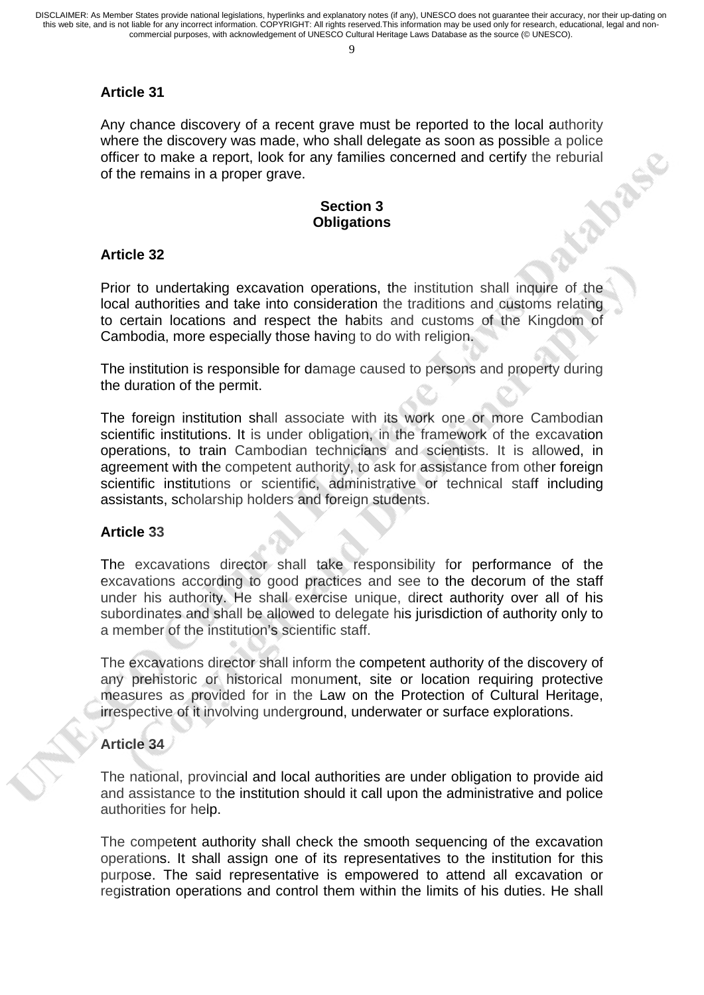$\Omega$ 

### **Article 31**

Any chance discovery of a recent grave must be reported to the local authority where the discovery was made, who shall delegate as soon as possible a police of the remains in a proper grave.<br>
Section 3<br>
Obligation 3 of the remains in a proper grave.

### **Section 3 Obligations**

#### **Article 32**

Prior to undertaking excavation operations, the institution shall inquire of the local authorities and take into consideration the traditions and customs relating to certain locations and respect the habits and customs of the Kingdom of Cambodia, more especially those having to do with religion.

The institution is responsible for damage caused to persons and property during the duration of the permit.

The foreign institution shall associate with its work one or more Cambodian scientific institutions. It is under obligation, in the framework of the excavation operations, to train Cambodian technicians and scientists. It is allowed, in agreement with the competent authority, to ask for assistance from other foreign scientific institutions or scientific, administrative or technical staff including assistants, scholarship holders and foreign students.

#### **Article 33**

The excavations director shall take responsibility for performance of the excavations according to good practices and see to the decorum of the staff under his authority. He shall exercise unique, direct authority over all of his subordinates and shall be allowed to delegate his jurisdiction of authority only to a member of the institution's scientific staff.

The excavations director shall inform the competent authority of the discovery of any prehistoric or historical monument, site or location requiring protective measures as provided for in the Law on the Protection of Cultural Heritage, irrespective of it involving underground, underwater or surface explorations.

### **Article 34**

The national, provincial and local authorities are under obligation to provide aid and assistance to the institution should it call upon the administrative and police authorities for help.

The competent authority shall check the smooth sequencing of the excavation operations. It shall assign one of its representatives to the institution for this purpose. The said representative is empowered to attend all excavation or registration operations and control them within the limits of his duties. He shall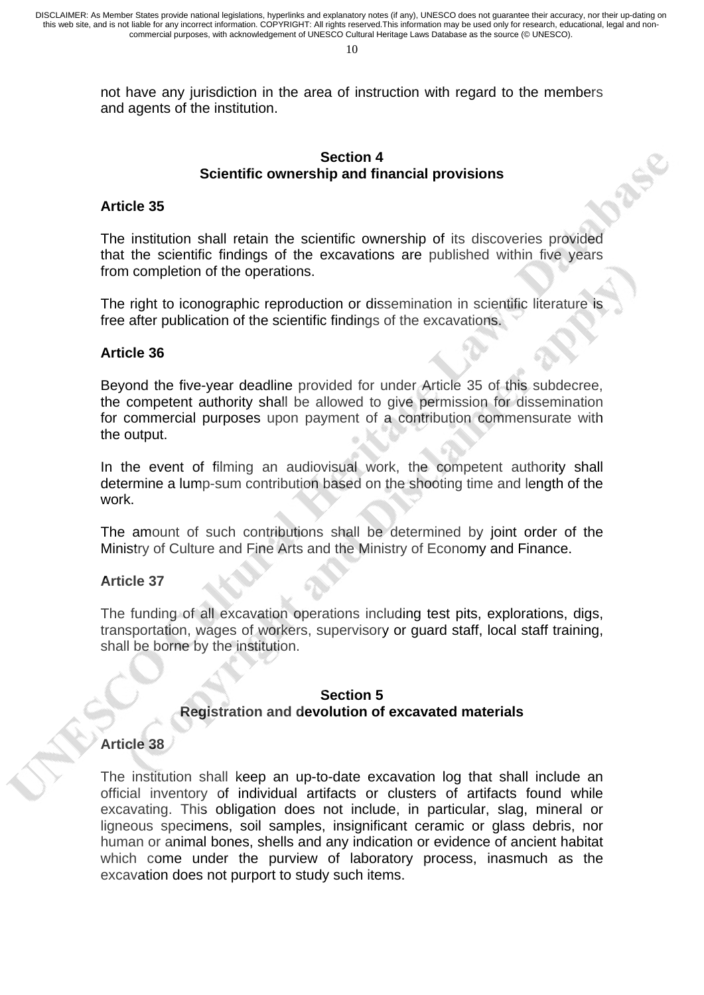not have any jurisdiction in the area of instruction with regard to the members and agents of the institution.

#### **Section 4 Scientific ownership and financial provisions**

RS

### **Article 35**

The institution shall retain the scientific ownership of its discoveries provided that the scientific findings of the excavations are published within five years from completion of the operations.

The right to iconographic reproduction or dissemination in scientific literature is free after publication of the scientific findings of the excavations.

#### **Article 36**

Beyond the five-year deadline provided for under Article 35 of this subdecree, the competent authority shall be allowed to give permission for dissemination for commercial purposes upon payment of a contribution commensurate with the output.

In the event of filming an audiovisual work, the competent authority shall determine a lump-sum contribution based on the shooting time and length of the work.

The amount of such contributions shall be determined by joint order of the Ministry of Culture and Fine Arts and the Ministry of Economy and Finance.

#### **Article 37**

The funding of all excavation operations including test pits, explorations, digs, transportation, wages of workers, supervisory or guard staff, local staff training, shall be borne by the institution.

#### **Section 5 Registration and devolution of excavated materials**

### **Article 38**

The institution shall keep an up-to-date excavation log that shall include an official inventory of individual artifacts or clusters of artifacts found while excavating. This obligation does not include, in particular, slag, mineral or ligneous specimens, soil samples, insignificant ceramic or glass debris, nor human or animal bones, shells and any indication or evidence of ancient habitat which come under the purview of laboratory process, inasmuch as the excavation does not purport to study such items.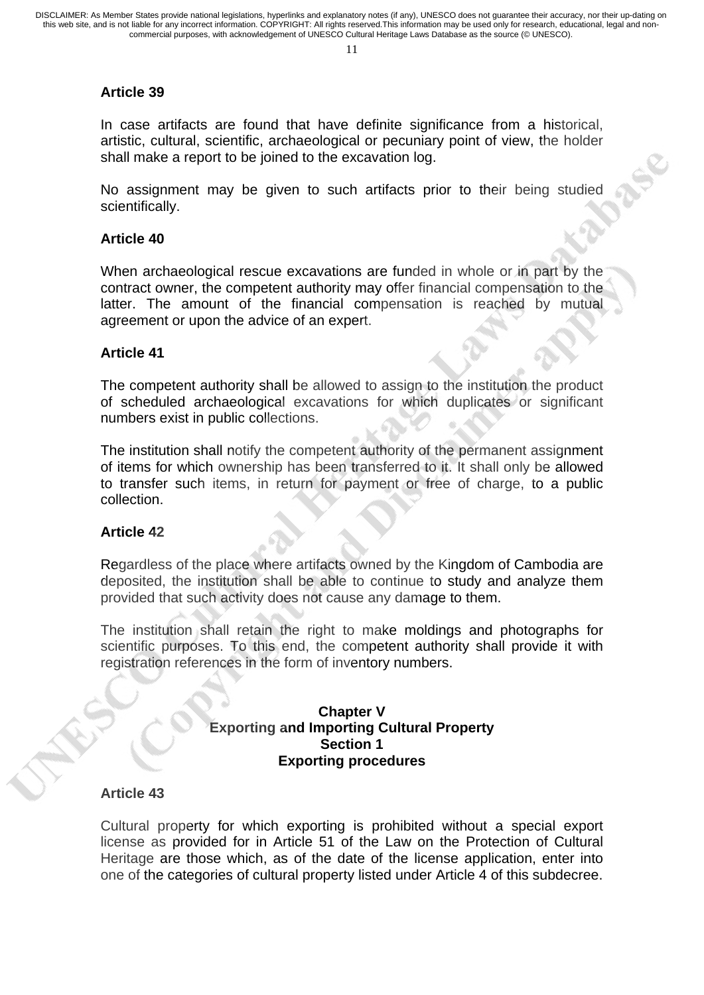### **Article 39**

In case artifacts are found that have definite significance from a historical, artistic, cultural, scientific, archaeological or pecuniary point of view, the holder shall make a report to be joined to the excavation log.

No assignment may be given to such artifacts prior to their being studied scientifically.

### **Article 40**

When archaeological rescue excavations are funded in whole or in part by the contract owner, the competent authority may offer financial compensation to the latter. The amount of the financial compensation is reached by mutual agreement or upon the advice of an expert.

### **Article 41**

The competent authority shall be allowed to assign to the institution the product of scheduled archaeological excavations for which duplicates or significant numbers exist in public collections.

The institution shall notify the competent authority of the permanent assignment of items for which ownership has been transferred to it. It shall only be allowed to transfer such items, in return for payment or free of charge, to a public collection.

### **Article 42**

Regardless of the place where artifacts owned by the Kingdom of Cambodia are deposited, the institution shall be able to continue to study and analyze them provided that such activity does not cause any damage to them.

The institution shall retain the right to make moldings and photographs for scientific purposes. To this end, the competent authority shall provide it with registration references in the form of inventory numbers.

### **Chapter V Exporting and Importing Cultural Property Section 1 Exporting procedures**

### **Article 43**

Cultural property for which exporting is prohibited without a special export license as provided for in Article 51 of the Law on the Protection of Cultural Heritage are those which, as of the date of the license application, enter into one of the categories of cultural property listed under Article 4 of this subdecree.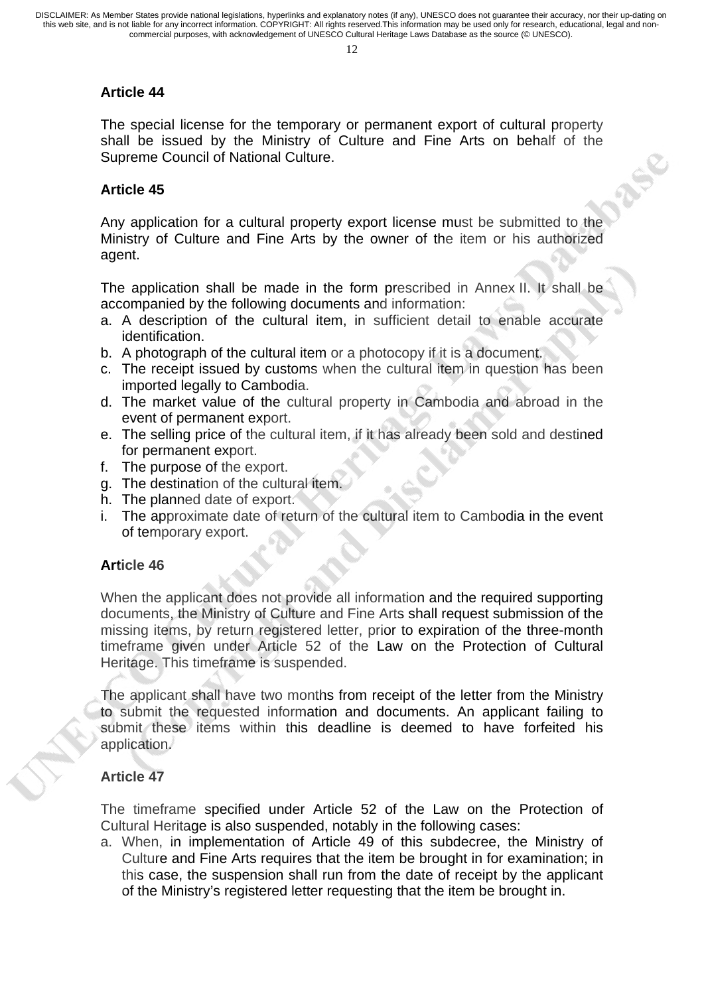# **Article 44**

The special license for the temporary or permanent export of cultural property shall be issued by the Ministry of Culture and Fine Arts on behalf of the Supreme Council of National Culture.

39

# **Article 45**

Any application for a cultural property export license must be submitted to the Ministry of Culture and Fine Arts by the owner of the item or his authorized agent.

The application shall be made in the form prescribed in Annex II. It shall be accompanied by the following documents and information:

- a. A description of the cultural item, in sufficient detail to enable accurate identification.
- b. A photograph of the cultural item or a photocopy if it is a document.
- c. The receipt issued by customs when the cultural item in question has been imported legally to Cambodia.
- d. The market value of the cultural property in Cambodia and abroad in the event of permanent export.
- e. The selling price of the cultural item, if it has already been sold and destined for permanent export.
- f. The purpose of the export.
- g. The destination of the cultural item.
- h. The planned date of export.
- i. The approximate date of return of the cultural item to Cambodia in the event of temporary export.

# **Article 46**

When the applicant does not provide all information and the required supporting documents, the Ministry of Culture and Fine Arts shall request submission of the missing items, by return registered letter, prior to expiration of the three-month timeframe given under Article 52 of the Law on the Protection of Cultural Heritage. This timeframe is suspended.

The applicant shall have two months from receipt of the letter from the Ministry to submit the requested information and documents. An applicant failing to submit these items within this deadline is deemed to have forfeited his application.

# **Article 47**

The timeframe specified under Article 52 of the Law on the Protection of Cultural Heritage is also suspended, notably in the following cases:

a. When, in implementation of Article 49 of this subdecree, the Ministry of Culture and Fine Arts requires that the item be brought in for examination; in this case, the suspension shall run from the date of receipt by the applicant of the Ministry's registered letter requesting that the item be brought in.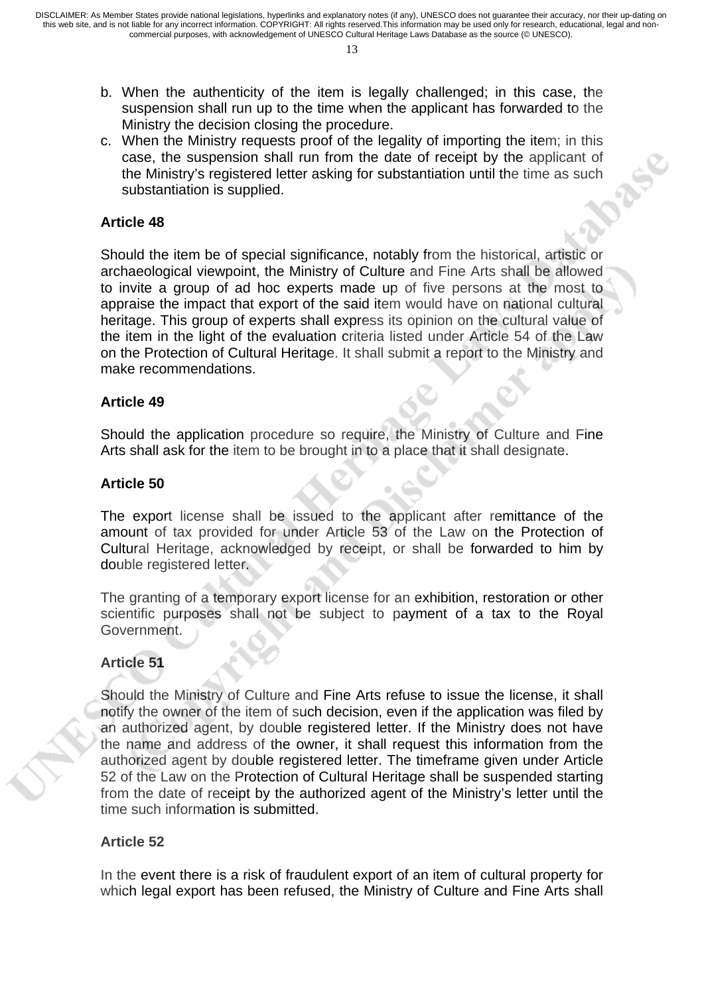- b. When the authenticity of the item is legally challenged; in this case, the suspension shall run up to the time when the applicant has forwarded to the Ministry the decision closing the procedure.
- c. When the Ministry requests proof of the legality of importing the item; in this case, the suspension shall run from the date of receipt by the applicant of the Ministry's registered letter asking for substantiation until the time as such substantiation is supplied.

#### **Article 48**

Should the item be of special significance, notably from the historical, artistic or archaeological viewpoint, the Ministry of Culture and Fine Arts shall be allowed to invite a group of ad hoc experts made up of five persons at the most to appraise the impact that export of the said item would have on national cultural heritage. This group of experts shall express its opinion on the cultural value of the item in the light of the evaluation criteria listed under Article 54 of the Law on the Protection of Cultural Heritage. It shall submit a report to the Ministry and make recommendations.

#### **Article 49**

Should the application procedure so require, the Ministry of Culture and Fine Arts shall ask for the item to be brought in to a place that it shall designate.

#### **Article 50**

The export license shall be issued to the applicant after remittance of the amount of tax provided for under Article 53 of the Law on the Protection of Cultural Heritage, acknowledged by receipt, or shall be forwarded to him by double registered letter.

The granting of a temporary export license for an exhibition, restoration or other scientific purposes shall not be subject to payment of a tax to the Royal Government.

### **Article 51**

Should the Ministry of Culture and Fine Arts refuse to issue the license, it shall notify the owner of the item of such decision, even if the application was filed by an authorized agent, by double registered letter. If the Ministry does not have the name and address of the owner, it shall request this information from the authorized agent by double registered letter. The timeframe given under Article 52 of the Law on the Protection of Cultural Heritage shall be suspended starting from the date of receipt by the authorized agent of the Ministry's letter until the time such information is submitted.

### **Article 52**

In the event there is a risk of fraudulent export of an item of cultural property for which legal export has been refused, the Ministry of Culture and Fine Arts shall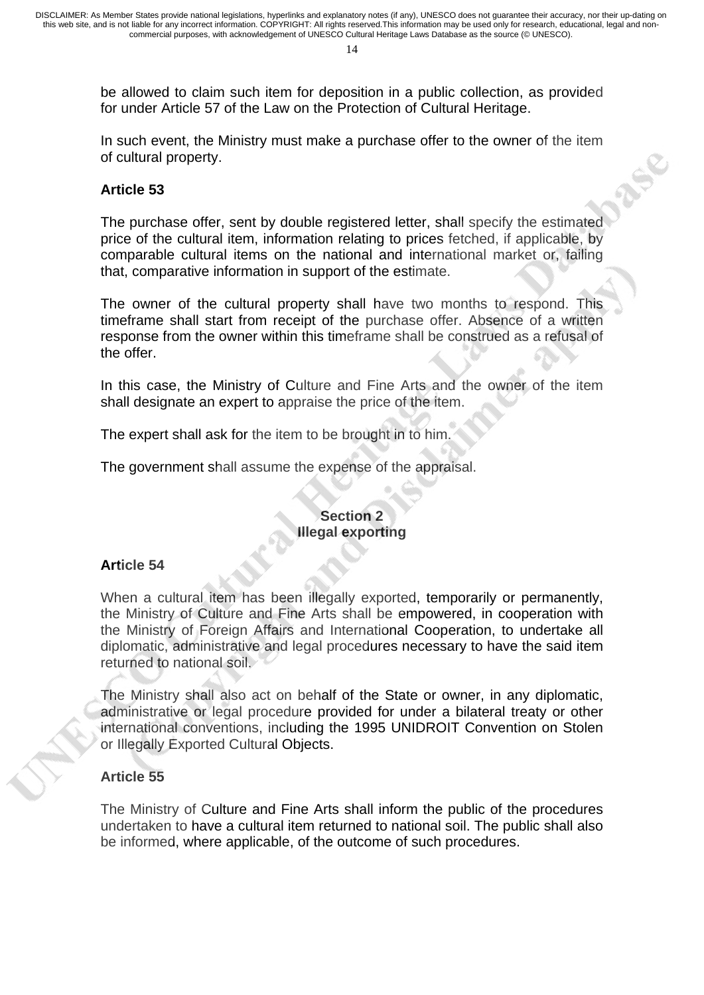be allowed to claim such item for deposition in a public collection, as provided for under Article 57 of the Law on the Protection of Cultural Heritage.

In such event, the Ministry must make a purchase offer to the owner of the item of cultural property.

RUS

### **Article 53**

The purchase offer, sent by double registered letter, shall specify the estimated price of the cultural item, information relating to prices fetched, if applicable, by comparable cultural items on the national and international market or, failing that, comparative information in support of the estimate.

The owner of the cultural property shall have two months to respond. This timeframe shall start from receipt of the purchase offer. Absence of a written response from the owner within this timeframe shall be construed as a refusal of the offer.

In this case, the Ministry of Culture and Fine Arts and the owner of the item shall designate an expert to appraise the price of the item.

The expert shall ask for the item to be brought in to him.

The government shall assume the expense of the appraisal.

### **Section 2 Illegal exporting**

### **Article 54**

When a cultural item has been illegally exported, temporarily or permanently, the Ministry of Culture and Fine Arts shall be empowered, in cooperation with the Ministry of Foreign Affairs and International Cooperation, to undertake all diplomatic, administrative and legal procedures necessary to have the said item returned to national soil.

The Ministry shall also act on behalf of the State or owner, in any diplomatic, administrative or legal procedure provided for under a bilateral treaty or other international conventions, including the 1995 UNIDROIT Convention on Stolen or Illegally Exported Cultural Objects.

### **Article 55**

The Ministry of Culture and Fine Arts shall inform the public of the procedures undertaken to have a cultural item returned to national soil. The public shall also be informed, where applicable, of the outcome of such procedures.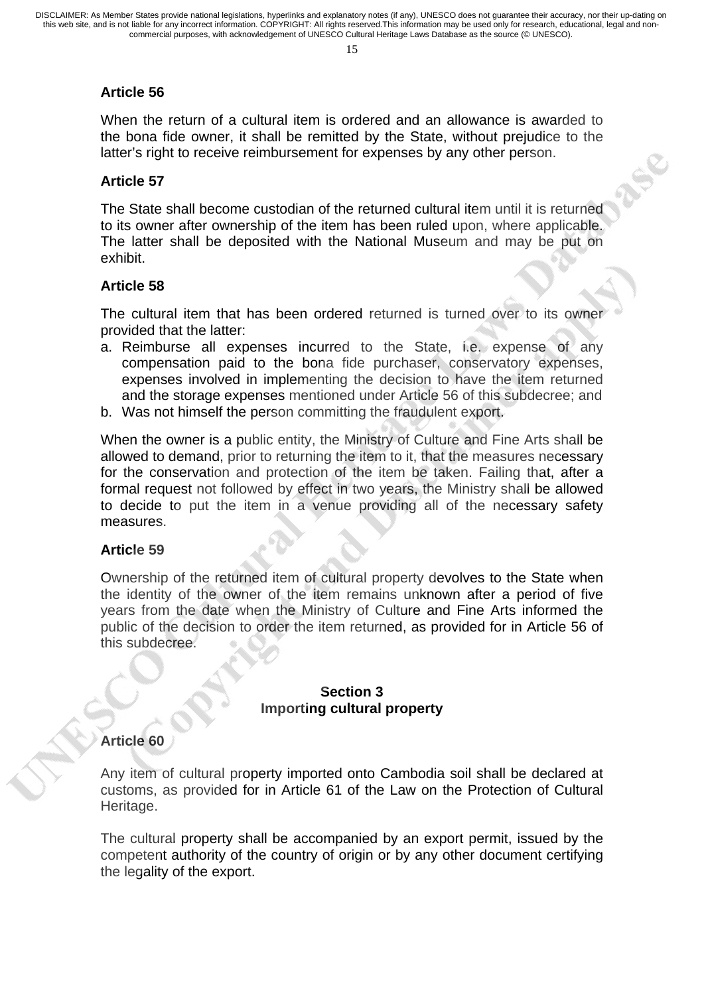### **Article 56**

When the return of a cultural item is ordered and an allowance is awarded to the bona fide owner, it shall be remitted by the State, without prejudice to the latter's right to receive reimbursement for expenses by any other person.

#### **Article 57**

The State shall become custodian of the returned cultural item until it is returned to its owner after ownership of the item has been ruled upon, where applicable. The latter shall be deposited with the National Museum and may be put on exhibit.

#### **Article 58**

The cultural item that has been ordered returned is turned over to its owner provided that the latter:

- a. Reimburse all expenses incurred to the State, i.e. expense of any compensation paid to the bona fide purchaser, conservatory expenses, expenses involved in implementing the decision to have the item returned and the storage expenses mentioned under Article 56 of this subdecree; and
- b. Was not himself the person committing the fraudulent export.

When the owner is a public entity, the Ministry of Culture and Fine Arts shall be allowed to demand, prior to returning the item to it, that the measures necessary for the conservation and protection of the item be taken. Failing that, after a formal request not followed by effect in two years, the Ministry shall be allowed to decide to put the item in a venue providing all of the necessary safety measures.

#### **Article 59**

Ownership of the returned item of cultural property devolves to the State when the identity of the owner of the item remains unknown after a period of five years from the date when the Ministry of Culture and Fine Arts informed the public of the decision to order the item returned, as provided for in Article 56 of this subdecree.

#### **Section 3 Importing cultural property**

### **Article 60**

Any item of cultural property imported onto Cambodia soil shall be declared at customs, as provided for in Article 61 of the Law on the Protection of Cultural Heritage.

The cultural property shall be accompanied by an export permit, issued by the competent authority of the country of origin or by any other document certifying the legality of the export.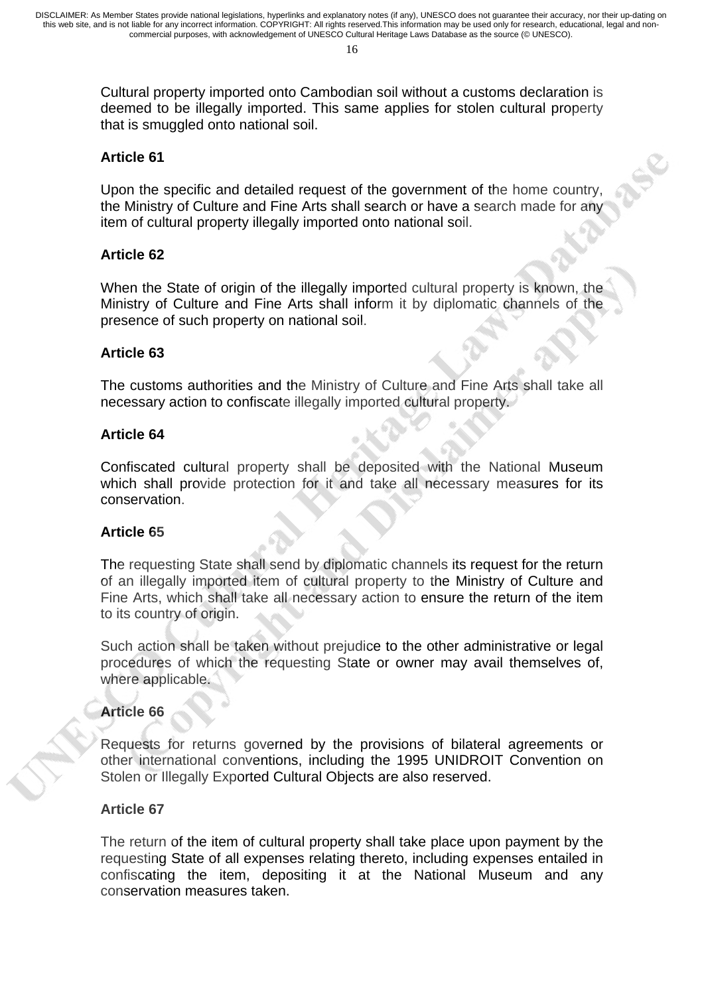Cultural property imported onto Cambodian soil without a customs declaration is deemed to be illegally imported. This same applies for stolen cultural property that is smuggled onto national soil.

### **Article 61**

Upon the specific and detailed request of the government of the home country, the Ministry of Culture and Fine Arts shall search or have a search made for any item of cultural property illegally imported onto national soil.

### **Article 62**

When the State of origin of the illegally imported cultural property is known, the Ministry of Culture and Fine Arts shall inform it by diplomatic channels of the presence of such property on national soil.

### **Article 63**

The customs authorities and the Ministry of Culture and Fine Arts shall take all necessary action to confiscate illegally imported cultural property.

#### **Article 64**

Confiscated cultural property shall be deposited with the National Museum which shall provide protection for it and take all necessary measures for its conservation.

### **Article 65**

The requesting State shall send by diplomatic channels its request for the return of an illegally imported item of cultural property to the Ministry of Culture and Fine Arts, which shall take all necessary action to ensure the return of the item to its country of origin.

Such action shall be taken without prejudice to the other administrative or legal procedures of which the requesting State or owner may avail themselves of, where applicable.

### **Article 66**

Requests for returns governed by the provisions of bilateral agreements or other international conventions, including the 1995 UNIDROIT Convention on Stolen or Illegally Exported Cultural Objects are also reserved.

#### **Article 67**

The return of the item of cultural property shall take place upon payment by the requesting State of all expenses relating thereto, including expenses entailed in confiscating the item, depositing it at the National Museum and any conservation measures taken.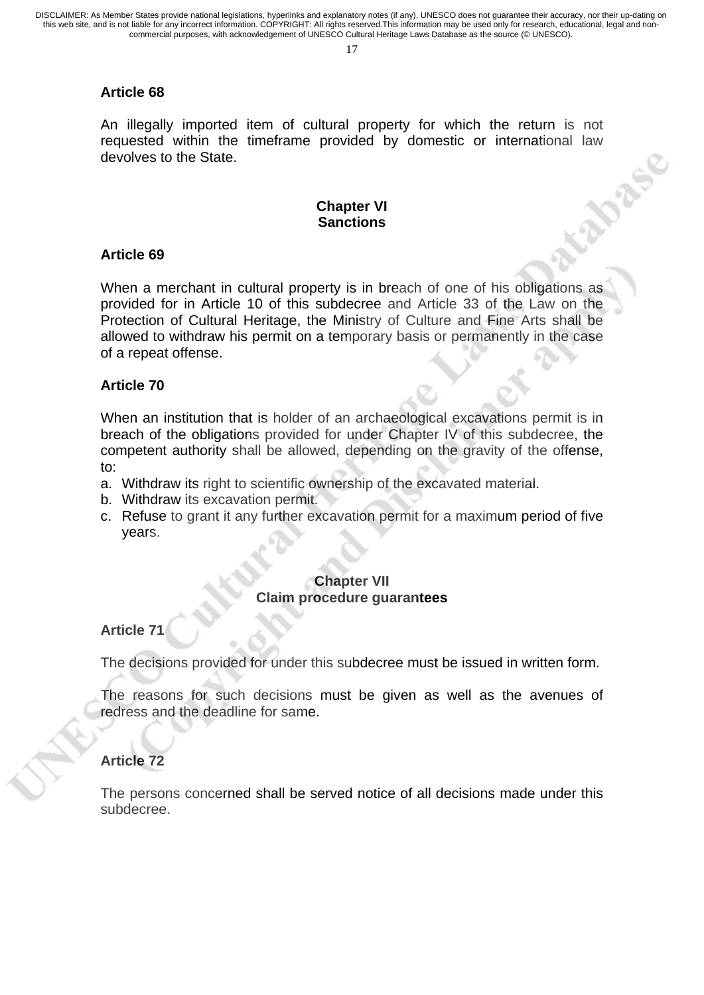17

## **Article 68**

An illegally imported item of cultural property for which the return is not requested within the timeframe provided by domestic or international law<br>devolves to the State.<br>Chanter in devolves to the State.

## **Chapter VI Sanctions**

## **Article 69**

When a merchant in cultural property is in breach of one of his obligations as provided for in Article 10 of this subdecree and Article 33 of the Law on the Protection of Cultural Heritage, the Ministry of Culture and Fine Arts shall be allowed to withdraw his permit on a temporary basis or permanently in the case of a repeat offense.

## **Article 70**

When an institution that is holder of an archaeological excavations permit is in breach of the obligations provided for under Chapter IV of this subdecree, the competent authority shall be allowed, depending on the gravity of the offense, to:

- a. Withdraw its right to scientific ownership of the excavated material.
- b. Withdraw its excavation permit.
- c. Refuse to grant it any further excavation permit for a maximum period of five years.

### **Chapter VII Claim procedure guarantees**

### **Article 71**

The decisions provided for under this subdecree must be issued in written form.

The reasons for such decisions must be given as well as the avenues of redress and the deadline for same.

## **Article 72**

The persons concerned shall be served notice of all decisions made under this subdecree.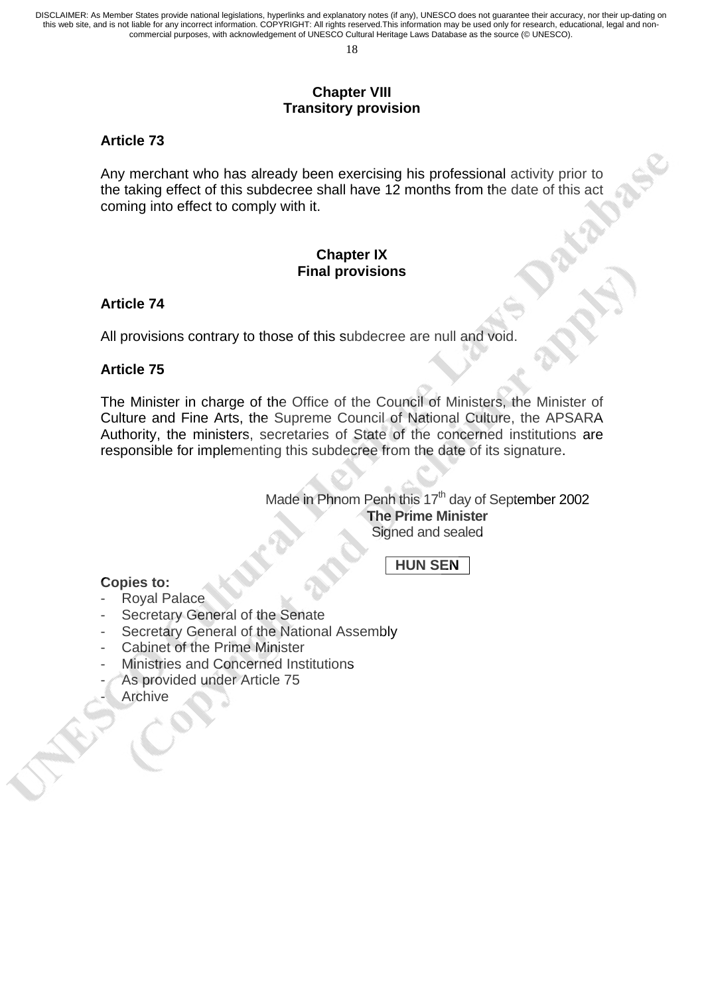#### **Chapter VIII Transitory provision**

### **Article 73**

Any merchant who has already been exercising his professional activity prior to the taking effect of this subdecree shall have 12 months from the date of this act coming into effect to comply with it.

### **Chapter IX Final provisions**

### **Article 74**

All provisions contrary to those of this subdecree are null and void.

#### **Article 75**

The Minister in charge of the Office of the Council of Ministers, the Minister of Culture and Fine Arts, the Supreme Council of National Culture, the APSARA Authority, the ministers, secretaries of State of the concerned institutions are responsible for implementing this subdecree from the date of its signature.

> Made in Phnom Penh this  $17<sup>th</sup>$  day of September 2002 **The Prime Minister**  Signed and sealed

## **HUN SEN**

#### **Copies to:**

- Royal Palace
- Secretary General of the Senate
- Secretary General of the National Assembly
- Cabinet of the Prime Minister
- Ministries and Concerned Institutions
- As provided under Article 75
- **Archive**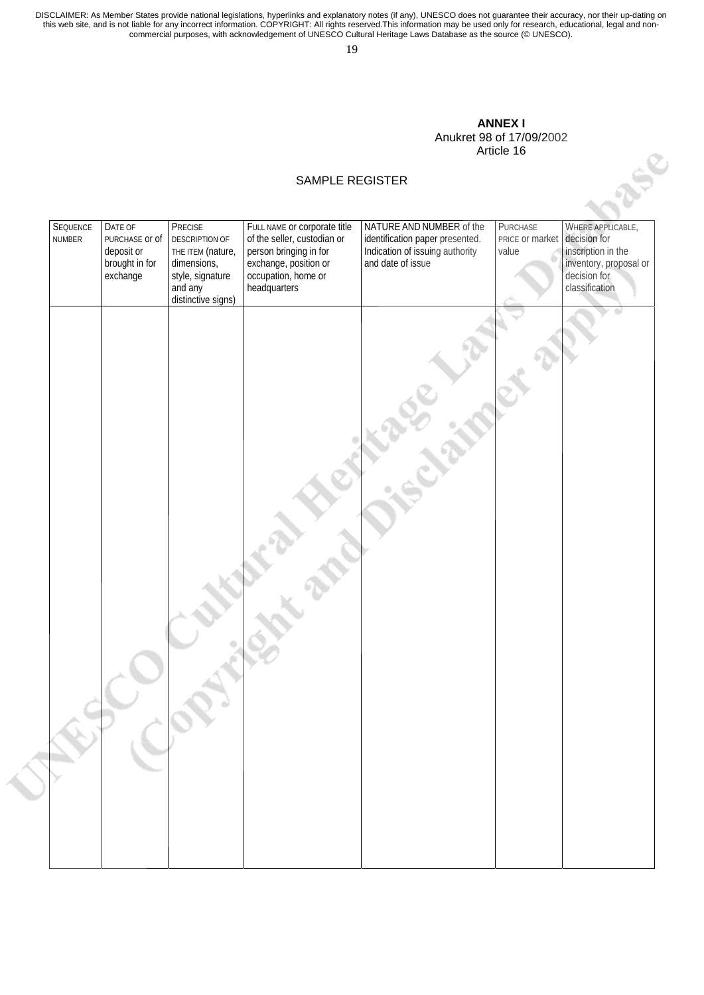19

#### **ANNEX I**  Anukret 98 of 17/09/2002 Article 16

|                    |                                                                       |                                                                                                                    |                                                                                                                                                       | AIIUNIGL JU UI TITUJIZUUZ<br>Article 16                                                                             |                                                   |                                                                                                     |
|--------------------|-----------------------------------------------------------------------|--------------------------------------------------------------------------------------------------------------------|-------------------------------------------------------------------------------------------------------------------------------------------------------|---------------------------------------------------------------------------------------------------------------------|---------------------------------------------------|-----------------------------------------------------------------------------------------------------|
|                    |                                                                       | SAMPLE REGISTER                                                                                                    |                                                                                                                                                       |                                                                                                                     |                                                   |                                                                                                     |
| SEQUENCE<br>NUMBER | DATE OF<br>PURCHASE OF Of<br>deposit or<br>brought in for<br>exchange | PRECISE<br>DESCRIPTION OF<br>THE ITEM (nature,<br>dimensions,<br>style, signature<br>and any<br>distinctive signs) | FULL NAME or corporate title<br>of the seller, custodian or<br>person bringing in for<br>exchange, position or<br>occupation, home or<br>headquarters | NATURE AND NUMBER of the<br>identification paper presented.<br>Indication of issuing authority<br>and date of issue | PURCHASE<br>PRICE or market decision for<br>value | WHERE APPLICABLE,<br>inscription in the<br>inventory, proposal or<br>decision for<br>classification |
|                    |                                                                       |                                                                                                                    |                                                                                                                                                       |                                                                                                                     |                                                   |                                                                                                     |
|                    |                                                                       |                                                                                                                    |                                                                                                                                                       |                                                                                                                     |                                                   |                                                                                                     |
|                    |                                                                       |                                                                                                                    |                                                                                                                                                       |                                                                                                                     |                                                   |                                                                                                     |
|                    |                                                                       |                                                                                                                    |                                                                                                                                                       |                                                                                                                     |                                                   |                                                                                                     |
|                    |                                                                       |                                                                                                                    |                                                                                                                                                       |                                                                                                                     |                                                   |                                                                                                     |
|                    |                                                                       | FRO ON                                                                                                             |                                                                                                                                                       |                                                                                                                     |                                                   |                                                                                                     |
|                    |                                                                       |                                                                                                                    |                                                                                                                                                       |                                                                                                                     |                                                   |                                                                                                     |
|                    |                                                                       |                                                                                                                    |                                                                                                                                                       |                                                                                                                     |                                                   |                                                                                                     |

#### SAMPLE REGISTER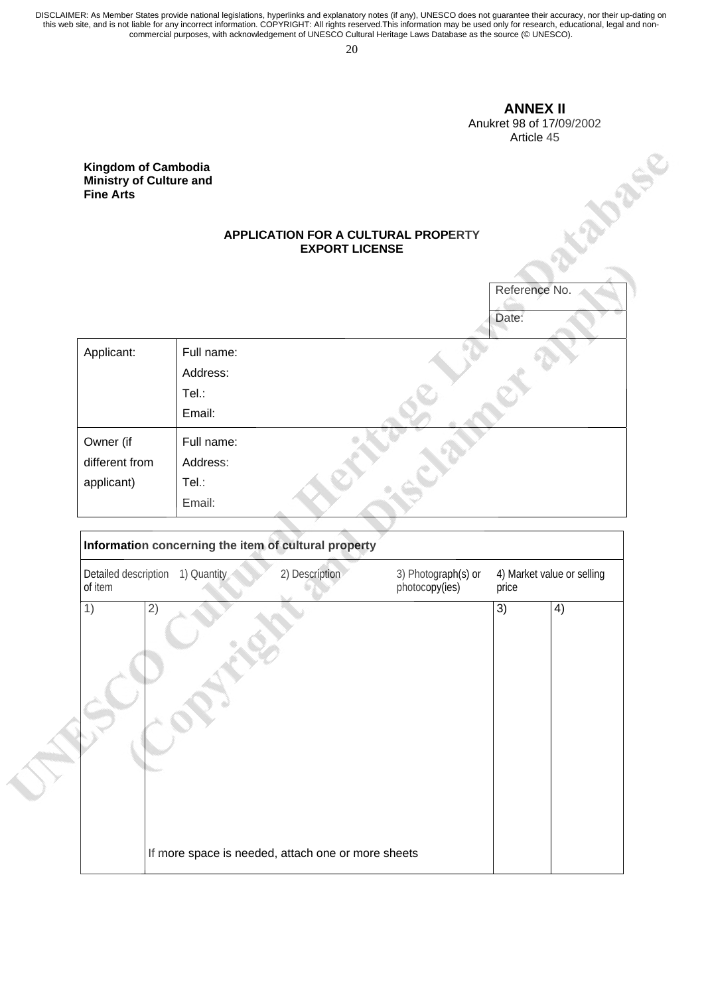20

#### **ANNEX II**  Anukret 98 of 17/09/2002

Article 45

#### **Kingdom of Cambodia Ministry of Culture and Fine Arts**

#### **APPLICATION FOR A CULTURAL PROPERTY EXPORT LICENSE**

|                                                                                  |                                                              | $1$ $\mu$ $\mu$ $\sigma$ $\tau$ |
|----------------------------------------------------------------------------------|--------------------------------------------------------------|---------------------------------|
| <b>Kingdom of Cambodia</b><br><b>Ministry of Culture and</b><br><b>Fine Arts</b> |                                                              |                                 |
|                                                                                  | APPLICATION FOR A CULTURAL PROPERTY<br><b>EXPORT LICENSE</b> |                                 |
|                                                                                  |                                                              | Reference No.                   |
|                                                                                  |                                                              | Date:                           |
| Applicant:                                                                       | Full name:                                                   |                                 |
|                                                                                  | Address:                                                     |                                 |
|                                                                                  | Tel.:                                                        |                                 |
|                                                                                  | Email:                                                       |                                 |
| Owner (if                                                                        | Full name:                                                   |                                 |
| different from                                                                   | Address:                                                     |                                 |
| applicant)                                                                       | Tel.:                                                        |                                 |
|                                                                                  | Email:                                                       |                                 |

|                                 | Information concerning the item of cultural property |                                                    |                                       |       |                            |
|---------------------------------|------------------------------------------------------|----------------------------------------------------|---------------------------------------|-------|----------------------------|
| Detailed description<br>of item | 1) Quantity                                          | 2) Description                                     | 3) Photograph(s) or<br>photocopy(ies) | price | 4) Market value or selling |
| 1)                              | 2)                                                   | If more space is needed, attach one or more sheets |                                       | 3)    | 4)                         |